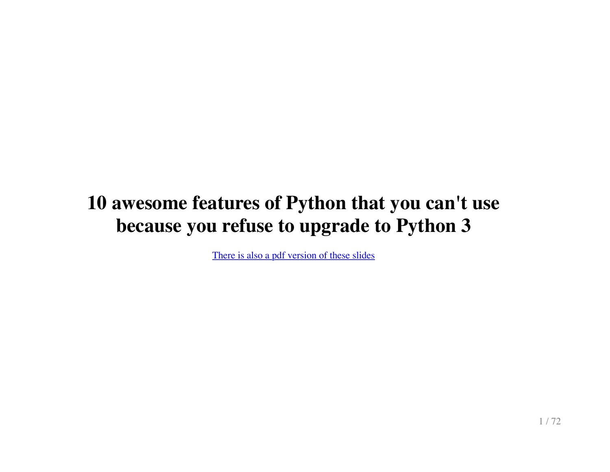## **10 awesome features of Python that you can't use because you refuse to upgrade to Python 3**

[There is also a pdf version of these slides](http://asmeurer.github.io/python3-presentation/python3-presentation.pdf)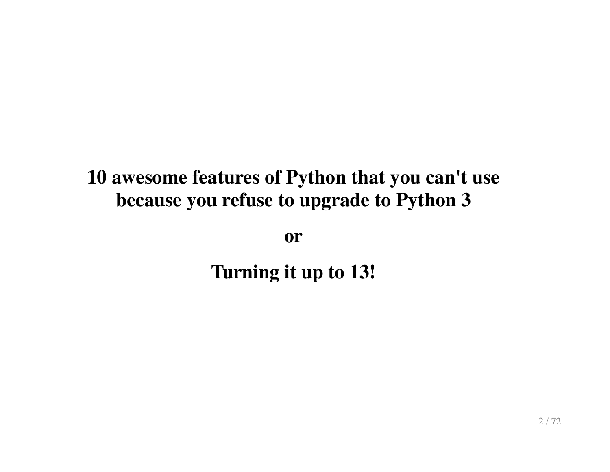#### **10 awesome features of Python that you can't use because you refuse to upgrade to Python 3**

**or**

**Turning it up to 13!**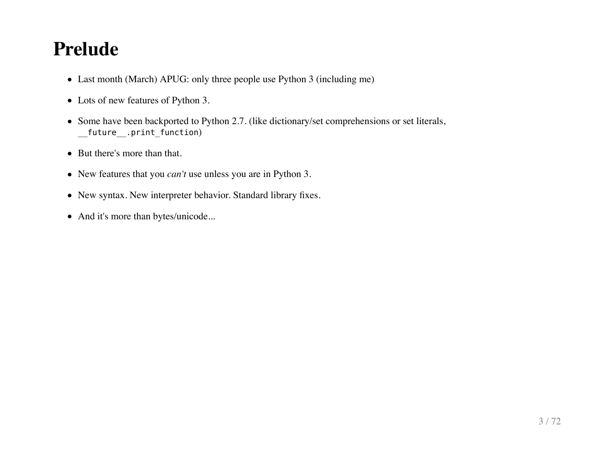#### **Prelude**

- Last month (March) APUG: only three people use Python 3 (including me)
- Lots of new features of Python 3.
- Some have been backported to Python 2.7. (like dictionary/set comprehensions or set literals, \_\_future\_\_.print\_function)
- But there's more than that.
- New features that you *can't* use unless you are in Python 3.
- New syntax. New interpreter behavior. Standard library fixes.
- And it's more than bytes/unicode...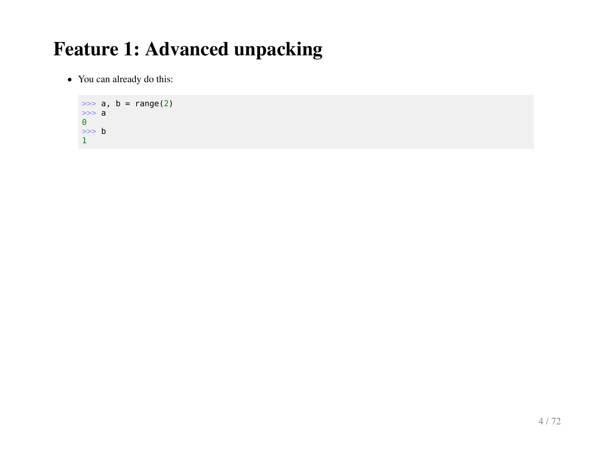• You can already do this:

```
\Rightarrow a, b = \text{range}(2)>> a
\Theta\Rightarrow b
1
```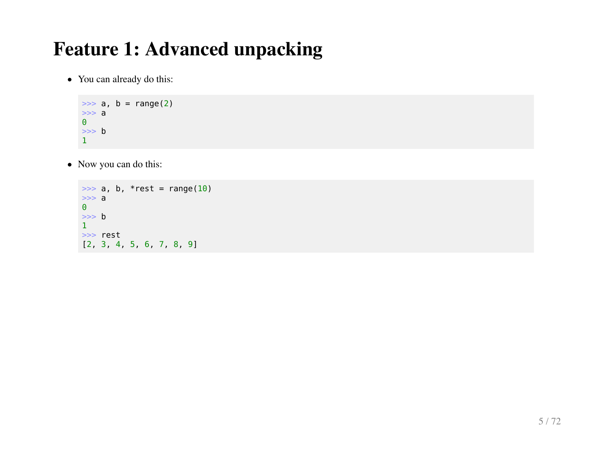• You can already do this:

```
\Rightarrow a, b = \text{range}(2)>> a
\Theta\Rightarrow b
1
```
• Now you can do this:

```
\Rightarrow a, b, *rest = range(10)
>><sub>2</sub>\Theta\Rightarrow b
1
>>> rest
[2, 3, 4, 5, 6, 7, 8, 9]
```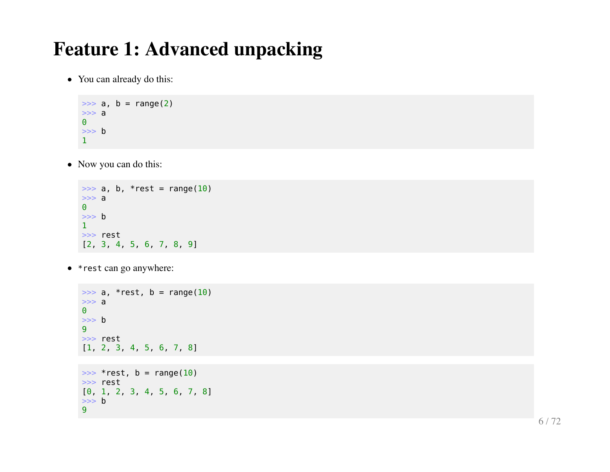You can already do this:

```
\Rightarrow a, b = range(2)
>> a
\Theta\Rightarrow b
1
```
• Now you can do this:

```
\Rightarrow a, b, *rest = range(10)
\Rightarrow a
\Theta\Rightarrow b
1
>>> rest
[2, 3, 4, 5, 6, 7, 8, 9]
```
• \* rest can go anywhere:

```
\Rightarrow a, *rest, b = range(10)
\Rightarrow a
\Theta\Rightarrow b
9
>>> rest
[1, 2, 3, 4, 5, 6, 7, 8]
\Rightarrow *rest, b = range(10)
>>> rest
[0, 1, 2, 3, 4, 5, 6, 7, 8]
\Rightarrow b
9
```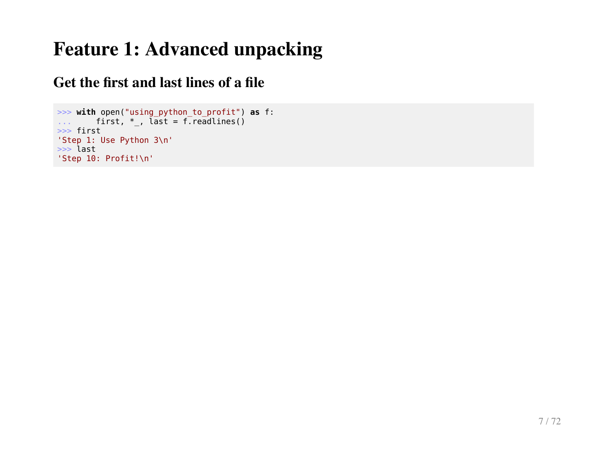#### **Get the first and last lines of a file**

```
>>> with open("using_python_to_profit") as f:
\dots first, *_, last = f.readlines()
>>> first
'Step 1: Use Python 3\n'
>>> last
'Step 10: Profit!\n'
```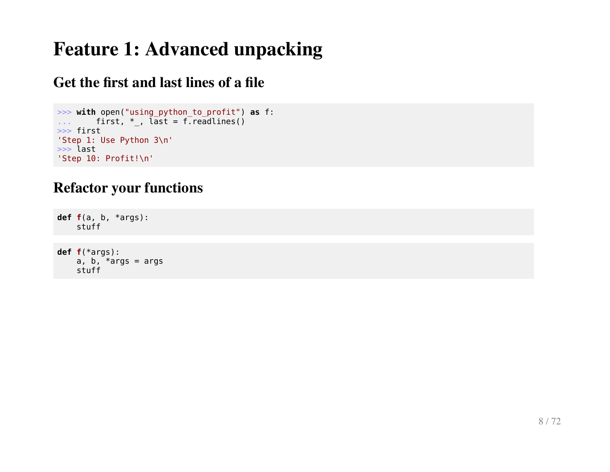#### **Get the first and last lines of a file**

```
>>> with open("using_python_to_profit") as f:
\dots first, *_, last = f.readlines()
>>> first
'Step 1: Use Python 3\n'
>>> last
'Step 10: Profit!\n'
```
#### **Refactor your functions**

```
def f(a, b, *args):
     stuff
```

```
def f(*args):
   a, b, *args = args stuff
```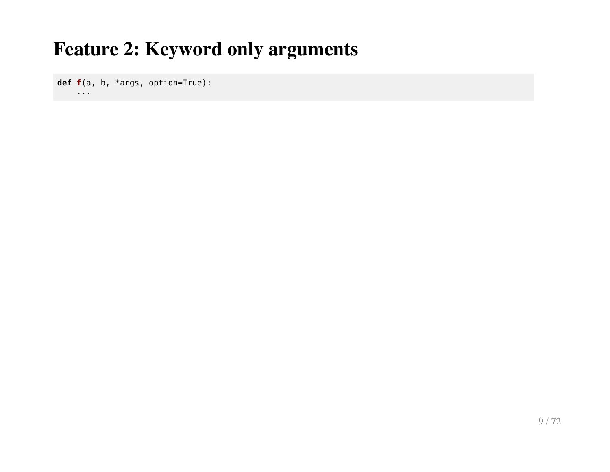**def f**(a, b, \*args, option=True):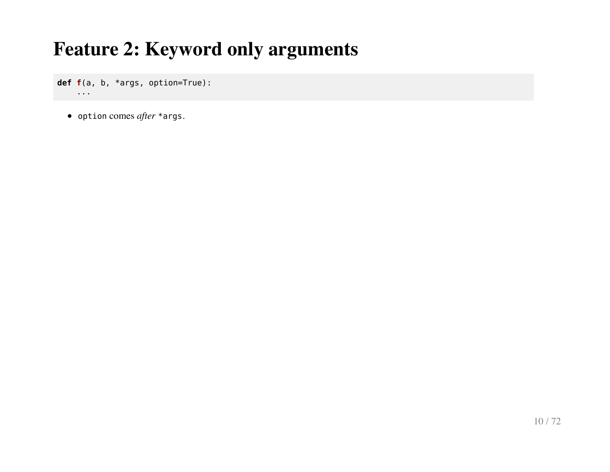**def f**(a, b, \*args, option=True): ...

option comes *after* \*args.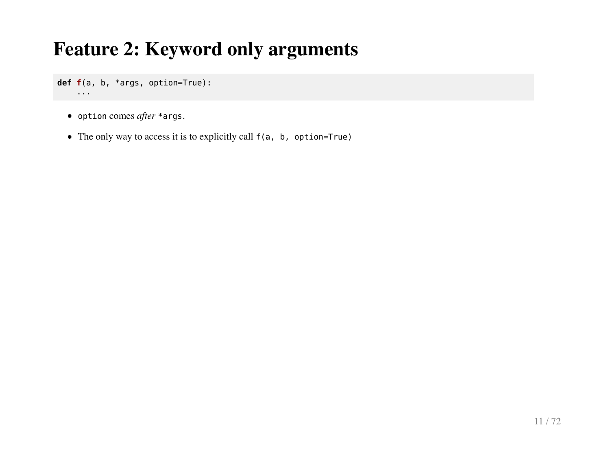**def f**(a, b, \*args, option=True): ...

- option comes *after* \*args.
- The only way to access it is to explicitly call f(a, b, option=True)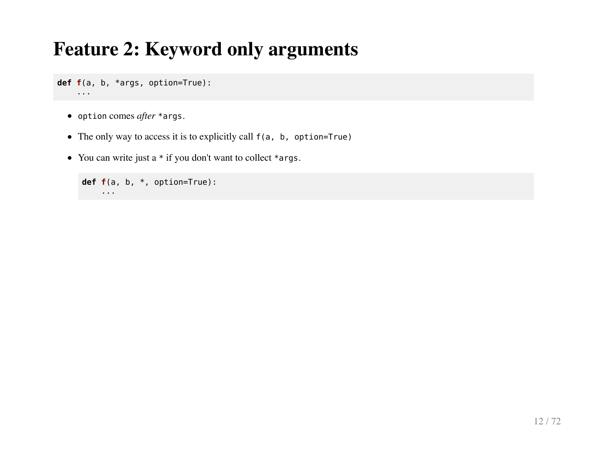**def f**(a, b, \*args, option=True): ...

- option comes *after* \*args.
- The only way to access it is to explicitly call  $f(a, b, option=True)$
- You can write just a  $*$  if you don't want to collect  $*$ args.

```
def f(a, b, *, option=True):
     ...
```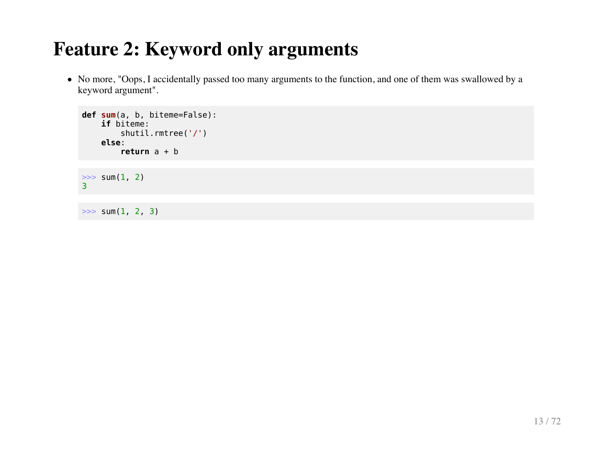No more, "Oops, I accidentally passed too many arguments to the function, and one of them was swallowed by a keyword argument".

```
def sum(a, b, biteme=False):
     if biteme:
         shutil.rmtree('/')
     else:
         return a + b
\gg sum(1, 2)
3
```
 $\gg$  sum(1, 2, 3)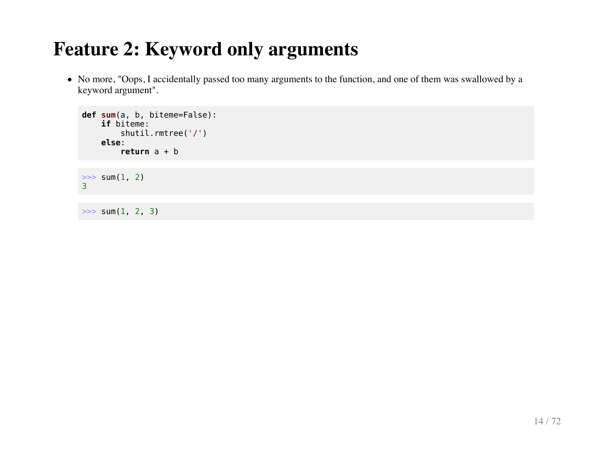No more, "Oops, I accidentally passed too many arguments to the function, and one of them was swallowed by a keyword argument".

```
def sum(a, b, biteme=False):
     if biteme:
         shutil.rmtree('/')
     else:
         return a + b
\gg sum(1, 2)
3
```
 $\gg$  sum(1, 2, 3)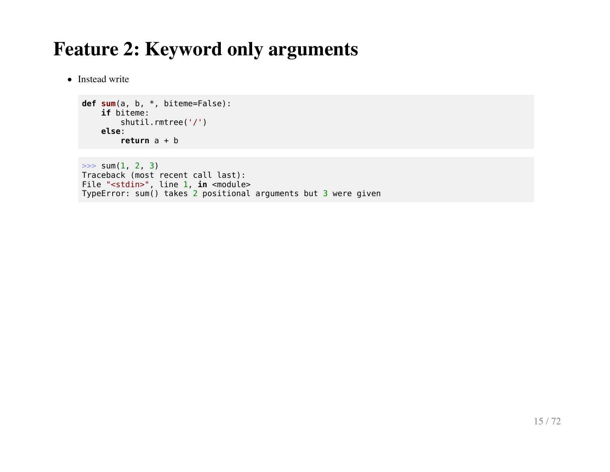• Instead write

```
def sum(a, b, *, biteme=False):
     if biteme:
         shutil.rmtree('/')
     else:
         return a + b
```

```
\gg sum(1, 2, 3)
Traceback (most recent call last):
File "<stdin>", line 1, in <module>
TypeError: sum() takes 2 positional arguments but 3 were given
```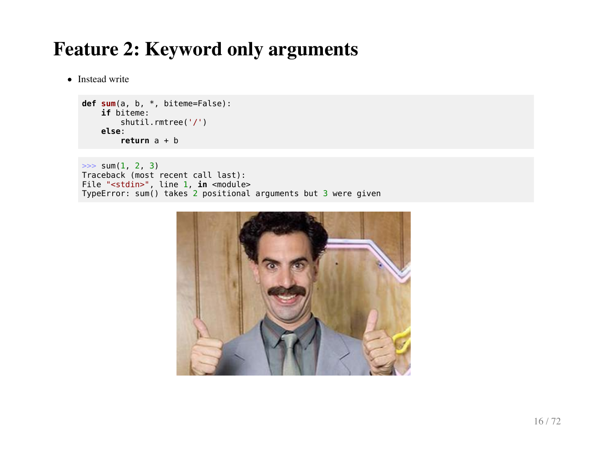• Instead write

```
def sum(a, b, *, biteme=False):
     if biteme:
         shutil.rmtree('/')
     else:
         return a + b
```

```
\gg sum(1, 2, 3)
Traceback (most recent call last):
File "<stdin>", line 1, in <module>
TypeError: sum() takes 2 positional arguments but 3 were given
```
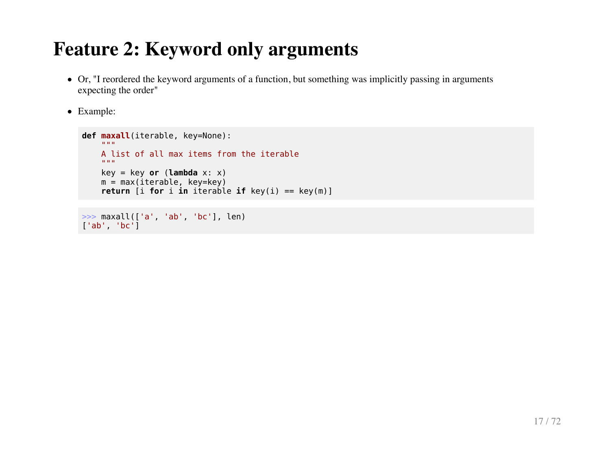- Or, "I reordered the keyword arguments of a function, but something was implicitly passing in arguments expecting the order"
- Example:

```
def maxall(iterable, key=None):
      """
     A list of all max items from the iterable
    \mathbf{u} " \mathbf{u} "
     key = key or (lambda x: x)
     m = max(iterable, key=key)
    return [i for i in iterable if key(i) == key(m)]
```

```
>>> maxall(['a', 'ab', 'bc'], len)
['ab', 'bc']
```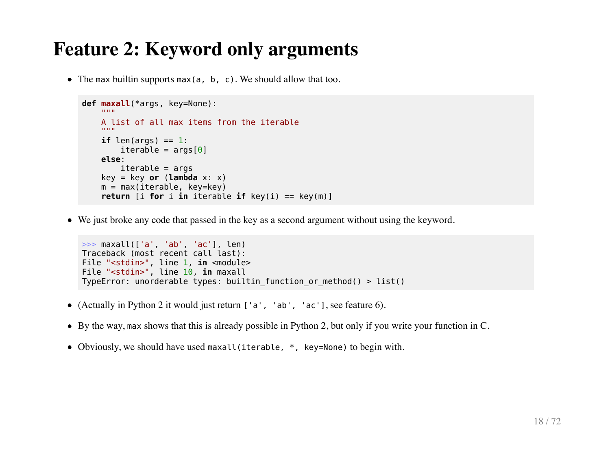• The max builtin supports max(a, b, c). We should allow that too.

```
def maxall(*args, key=None):
"" """""
     A list of all max items from the iterable
    "" "" ""
    if len(args) == 1:
        iterable = arg[0] else:
        iterable = argskey = key or (lambda x: x)m = max(iterable, key=key)return [i for i in iterable if key(i) == key(m)]
```
We just broke any code that passed in the key as a second argument without using the keyword.

```
>>> maxall(['a', 'ab', 'ac'], len)
Traceback (most recent call last):
File "<stdin>", line 1, in <module>
File "<stdin>", line 10, in maxall
TypeError: unorderable types: builtin function or method() > list()
```
- (Actually in Python 2 it would just return ['a', 'ab', 'ac'], see feature 6).
- By the way, max shows that this is already possible in Python 2, but only if you write your function in C.
- Obviously, we should have used maxall(iterable, \*, key=None) to begin with.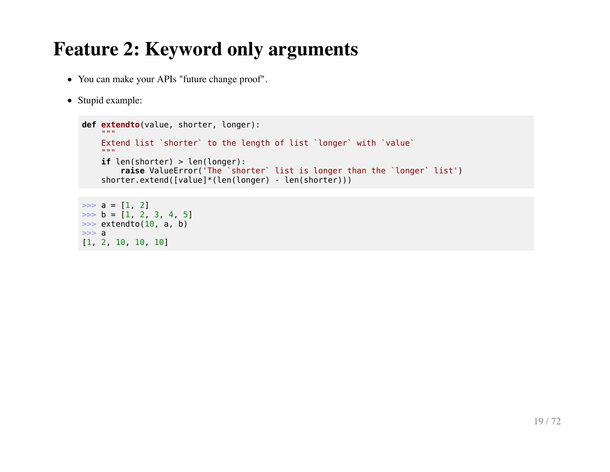- You can make your APIs "future change proof".
- Stupid example:

```
def extendto(value, shorter, longer):
     \cdots Extend list `shorter` to the length of list `longer` with `value`
     \mathbf{u} " \mathbf{u} "
     if len(shorter) > len(longer):
         raise ValueError('The `shorter` list is longer than the `longer` list')
    shorter.extend([value]*(len(longer) - len(shorter)))
\gg a = [1, 2]
```

```
\Rightarrow b = [1, 2, 3, 4, 5]
\gg extendto(10, a, b)
>> a
[1, 2, 10, 10, 10]
```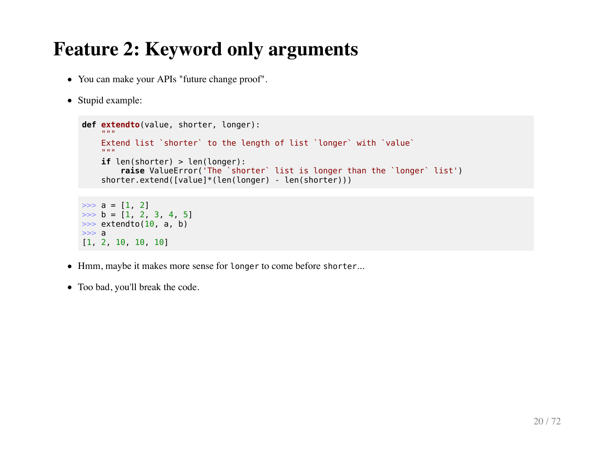- You can make your APIs "future change proof".
- Stupid example:

```
def extendto(value, shorter, longer):
     "" "" ""
     Extend list `shorter` to the length of list `longer` with `value`
    "" "" ""
     if len(shorter) > len(longer):
        raise ValueError('The `shorter` list is longer than the `longer` list')
    shorter.extend([value]*(len(longer) - len(shorter)))
\gg a = [1, 2]
\Rightarrow b = [1, 2, 3, 4, 5]
\gg extendto(10, a, b)
>> a
[1, 2, 10, 10, 10]
```
- Hmm, maybe it makes more sense for longer to come before shorter...
- Too bad, you'll break the code.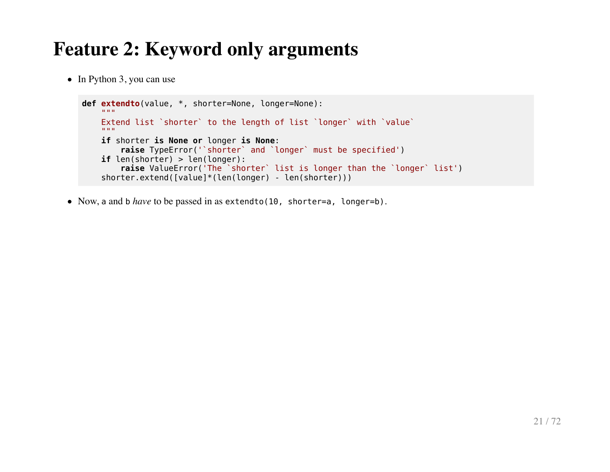• In Python 3, you can use

```
def extendto(value, *, shorter=None, longer=None):
"" """""
     Extend list `shorter` to the length of list `longer` with `value`
    "" "" ""
     if shorter is None or longer is None:
         raise TypeError('`shorter` and `longer` must be specified')
     if len(shorter) > len(longer):
         raise ValueError('The `shorter` list is longer than the `longer` list')
    shorter.extend([value]*(len(longer) - len(shorter)))
```
• Now, a and b *have* to be passed in as extendto(10, shorter=a, longer=b).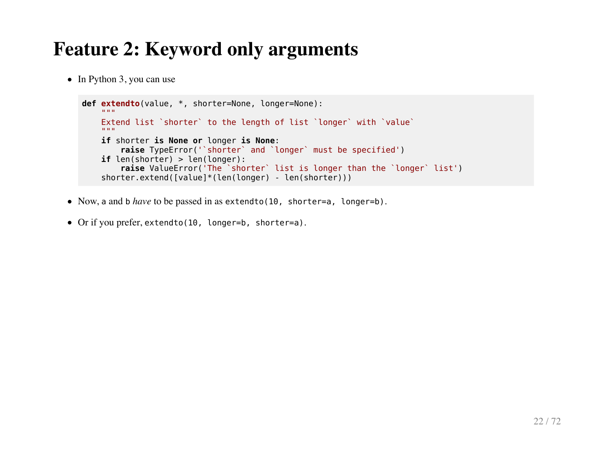$\bullet$  In Python 3, you can use

```
def extendto(value, *, shorter=None, longer=None):
"" """""
     Extend list `shorter` to the length of list `longer` with `value`
    "" "" ""
     if shorter is None or longer is None:
         raise TypeError('`shorter` and `longer` must be specified')
     if len(shorter) > len(longer):
         raise ValueError('The `shorter` list is longer than the `longer` list')
    shorter.extend([value]*(len(longer) - len(shorter)))
```
- Now, a and b *have* to be passed in as extendto(10, shorter=a, longer=b).
- Or if you prefer, extendto(10, longer=b, shorter=a).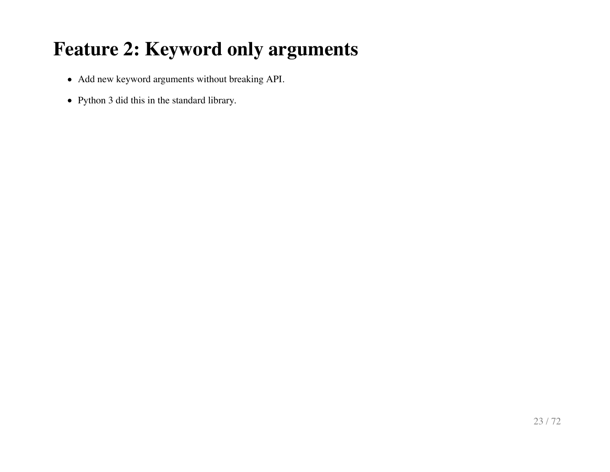- Add new keyword arguments without breaking API.
- Python 3 did this in the standard library.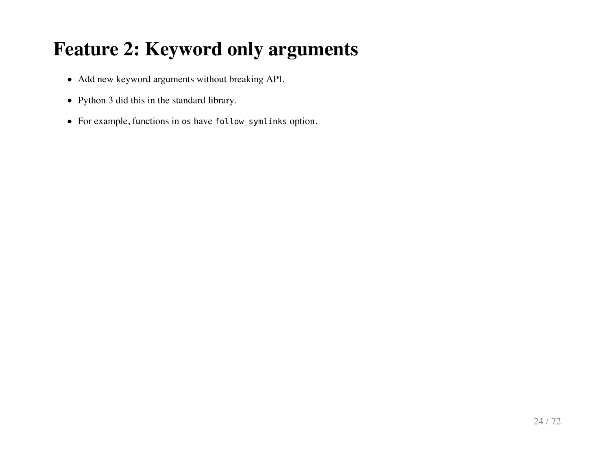- Add new keyword arguments without breaking API.
- Python 3 did this in the standard library.
- For example, functions in os have follow\_symlinks option.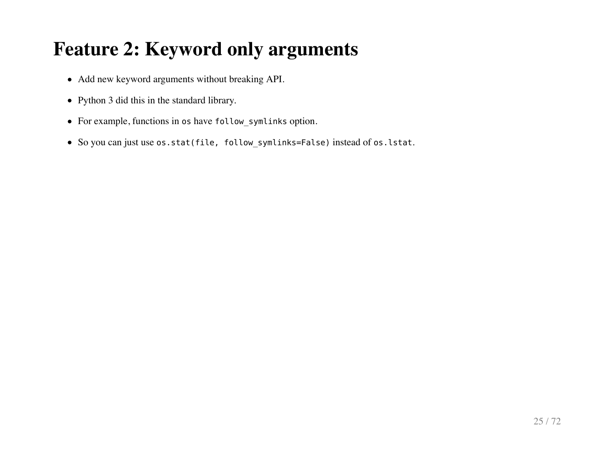- Add new keyword arguments without breaking API.
- Python 3 did this in the standard library.
- For example, functions in os have follow\_symlinks option.
- So you can just use os.stat(file, follow\_symlinks=False) instead of os.lstat.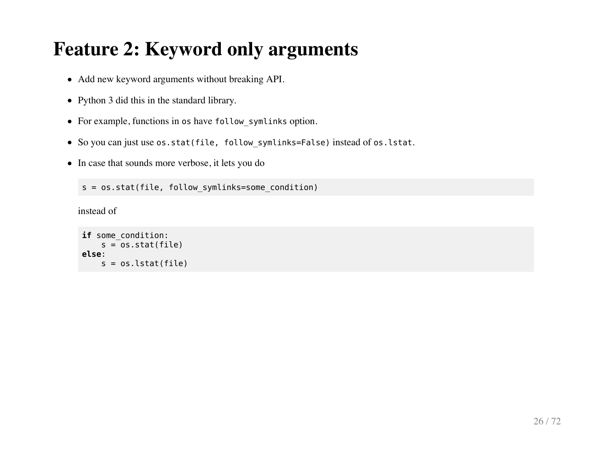- Add new keyword arguments without breaking API.
- Python 3 did this in the standard library.
- For example, functions in os have follow symlinks option.
- So you can just use os.stat(file, follow symlinks=False) instead of os.lstat.
- In case that sounds more verbose, it lets you do

s = os.stat(file, follow symlinks=some condition)

instead of

```
if some_condition:
    s = os.start(file)else:
    s = os.lstat(file)
```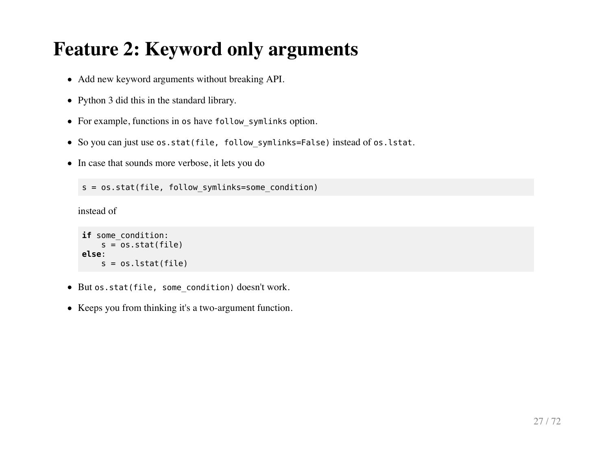- Add new keyword arguments without breaking API.
- Python 3 did this in the standard library.
- For example, functions in os have follow symlinks option.
- So you can just use os.stat(file, follow symlinks=False) instead of os.lstat.
- In case that sounds more verbose, it lets you do

s = os.stat(file, follow symlinks=some condition)

instead of

```
if some_condition:
    s = 0s.stat(file)else:
    s = os. lstat(file)
```
- But os.stat(file, some condition) doesn't work.
- Keeps you from thinking it's a two-argument function.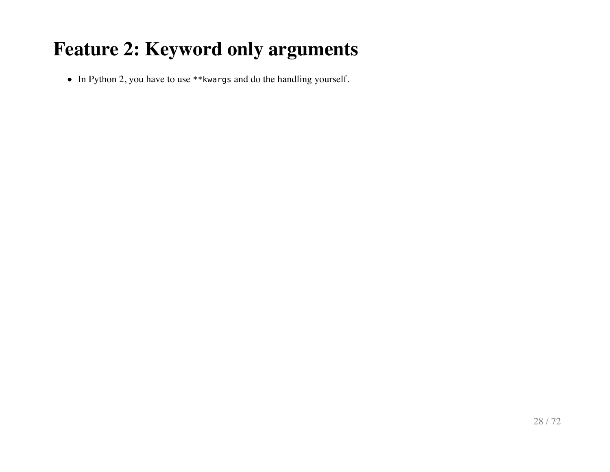• In Python 2, you have to use \*\*kwargs and do the handling yourself.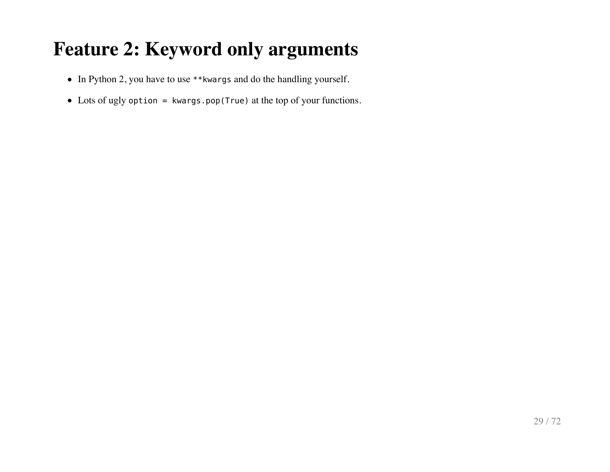- In Python 2, you have to use \*\*kwargs and do the handling yourself.
- Lots of ugly option = kwargs.pop(True) at the top of your functions.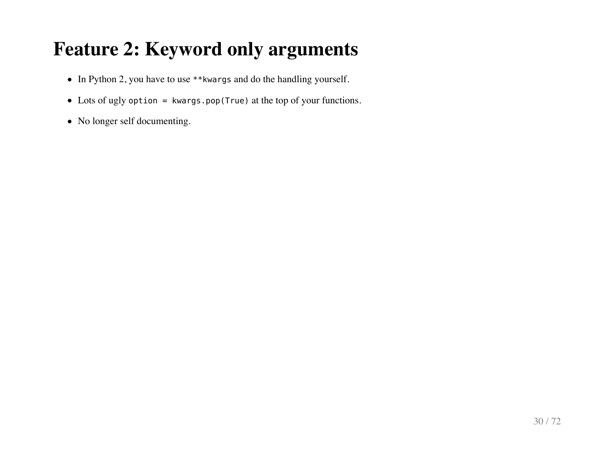- In Python 2, you have to use \*\*kwargs and do the handling yourself.
- Lots of ugly option = kwargs.pop(True) at the top of your functions.
- No longer self documenting.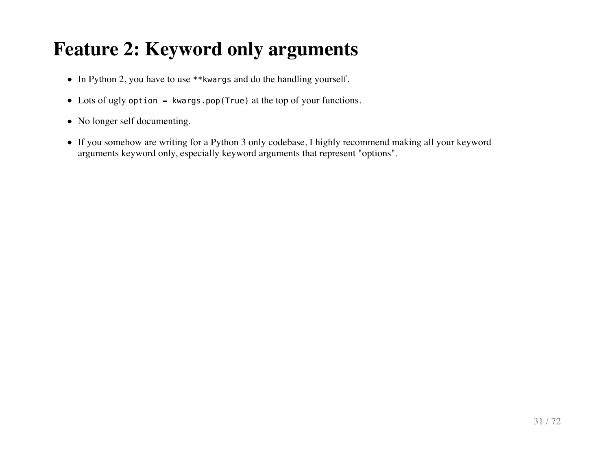- In Python 2, you have to use \*\*kwargs and do the handling yourself.
- Lots of ugly option = kwargs.pop(True) at the top of your functions.
- No longer self documenting.
- If you somehow are writing for a Python 3 only codebase, I highly recommend making all your keyword arguments keyword only, especially keyword arguments that represent "options".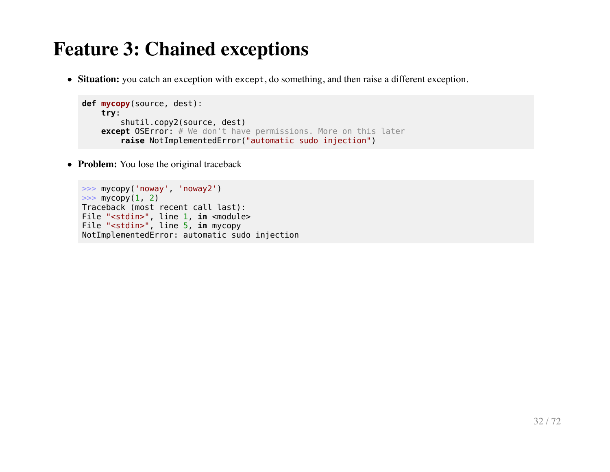**Situation:** you catch an exception with except, do something, and then raise a different exception.

```
def mycopy(source, dest):
     try:
         shutil.copy2(source, dest)
    except OSError: # We don't have permissions. More on this later
         raise NotImplementedError("automatic sudo injection")
```
• **Problem:** You lose the original traceback

```
>>> mycopy('noway', 'noway2')
\gg mycopy(1, 2)
Traceback (most recent call last):
File "<stdin>", line 1, in <module>
File "<stdin>", line 5, in mycopy
NotImplementedError: automatic sudo injection
```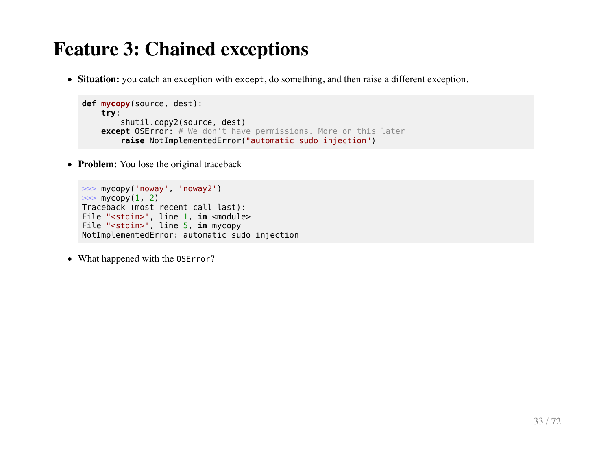**Situation:** you catch an exception with except, do something, and then raise a different exception.

```
def mycopy(source, dest):
     try:
         shutil.copy2(source, dest)
    except OSError: # We don't have permissions. More on this later
         raise NotImplementedError("automatic sudo injection")
```
• **Problem:** You lose the original traceback

```
>>> mycopy('noway', 'noway2')
\gg mycopy(1, 2)
Traceback (most recent call last):
File "<stdin>", line 1, in <module>
File "<stdin>", line 5, in mycopy
NotImplementedError: automatic sudo injection
```
• What happened with the 0SError?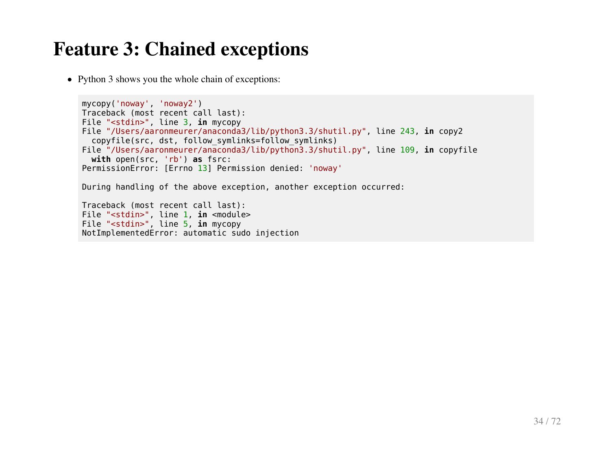• Python 3 shows you the whole chain of exceptions:

```
mycopy('noway', 'noway2')
Traceback (most recent call last):
File "<stdin>", line 3, in mycopy
File "/Users/aaronmeurer/anaconda3/lib/python3.3/shutil.py", line 243, in copy2
   copyfile(src, dst, follow_symlinks=follow_symlinks)
File "/Users/aaronmeurer/anaconda3/lib/python3.3/shutil.py", line 109, in copyfile
   with open(src, 'rb') as fsrc:
PermissionError: [Errno 13] Permission denied: 'noway'
During handling of the above exception, another exception occurred:
Traceback (most recent call last):
File "<stdin>", line 1, in <module>
```

```
File "<stdin>", line 5, in mycopy
NotImplementedError: automatic sudo injection
```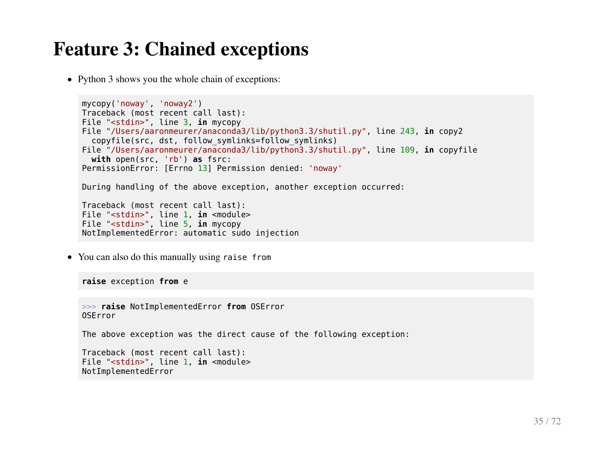• Python 3 shows you the whole chain of exceptions:

```
mycopy('noway', 'noway2')
Traceback (most recent call last):
File "<stdin>", line 3, in mycopy
File "/Users/aaronmeurer/anaconda3/lib/python3.3/shutil.py", line 243, in copy2
   copyfile(src, dst, follow_symlinks=follow_symlinks)
File "/Users/aaronmeurer/anaconda3/lib/python3.3/shutil.py", line 109, in copyfile
  with open(src, 'rb') as fsrc:
PermissionError: [Errno 13] Permission denied: 'noway'
During handling of the above exception, another exception occurred:
Traceback (most recent call last):
File "<stdin>", line 1, in <module>
File "<stdin>", line 5, in mycopy
NotImplementedError: automatic sudo injection
```
You can also do this manually using raise from

**raise** exception **from** e

>>> **raise** NotImplementedError **from** OSError OSError

The above exception was the direct cause of the following exception:

Traceback (most recent call last): File "<stdin>", line 1, **in** <module> NotImplementedError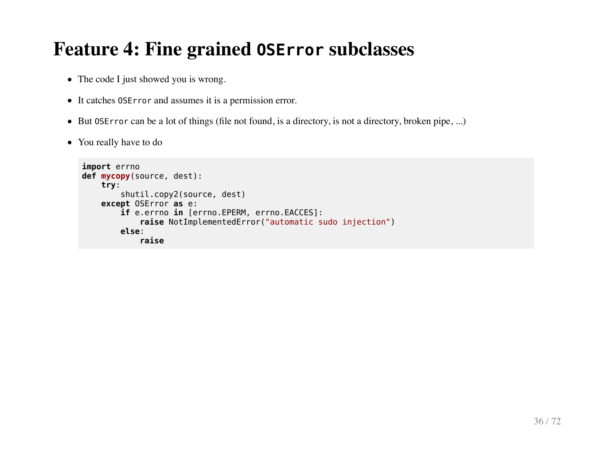#### **Feature 4: Fine grained OSError subclasses**

- The code I just showed you is wrong.
- It catches OSError and assumes it is a permission error.
- But 0SError can be a lot of things (file not found, is a directory, is not a directory, broken pipe, ...)
- You really have to do

```
import errno
def mycopy(source, dest):
     try:
         shutil.copy2(source, dest)
     except OSError as e:
         if e.errno in [errno.EPERM, errno.EACCES]:
             raise NotImplementedError("automatic sudo injection")
         else:
             raise
```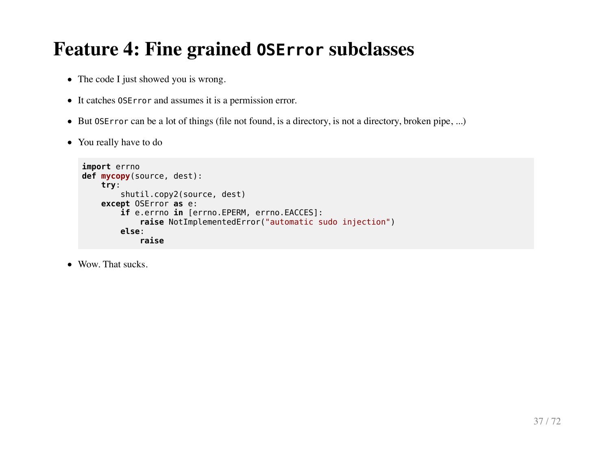## **Feature 4: Fine grained OSError subclasses**

- The code I just showed you is wrong.
- It catches OSError and assumes it is a permission error.
- But 0SError can be a lot of things (file not found, is a directory, is not a directory, broken pipe, ...)
- You really have to do

```
import errno
def mycopy(source, dest):
     try:
         shutil.copy2(source, dest)
     except OSError as e:
         if e.errno in [errno.EPERM, errno.EACCES]:
             raise NotImplementedError("automatic sudo injection")
         else:
             raise
```
• Wow. That sucks.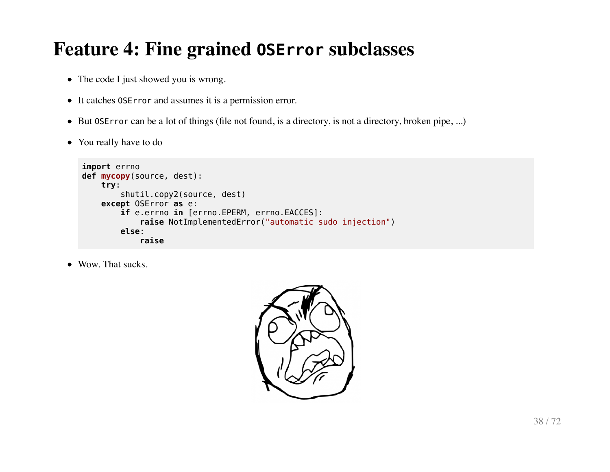# **Feature 4: Fine grained OSError subclasses**

- The code I just showed you is wrong.
- It catches OSError and assumes it is a permission error.
- But 0SError can be a lot of things (file not found, is a directory, is not a directory, broken pipe, ...)
- You really have to do

```
import errno
def mycopy(source, dest):
     try:
         shutil.copy2(source, dest)
     except OSError as e:
         if e.errno in [errno.EPERM, errno.EACCES]:
             raise NotImplementedError("automatic sudo injection")
         else:
             raise
```
• Wow. That sucks.

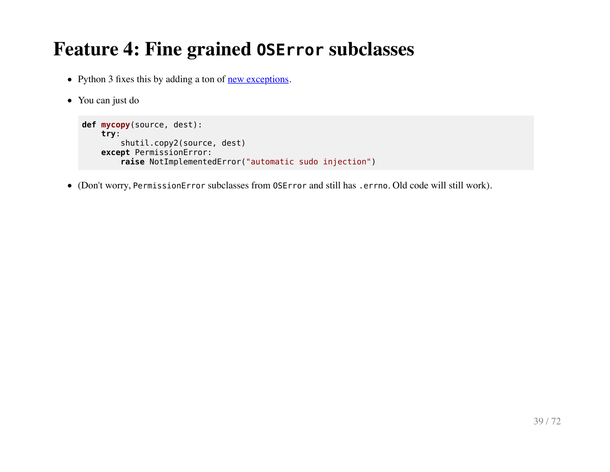### **Feature 4: Fine grained OSError subclasses**

- Python 3 fixes this by adding a ton of <u>new exceptions</u>.
- You can just do

```
def mycopy(source, dest):
     try:
         shutil.copy2(source, dest)
     except PermissionError:
         raise NotImplementedError("automatic sudo injection")
```
(Don't worry, PermissionError subclasses from OSError and still has .errno. Old code will still work).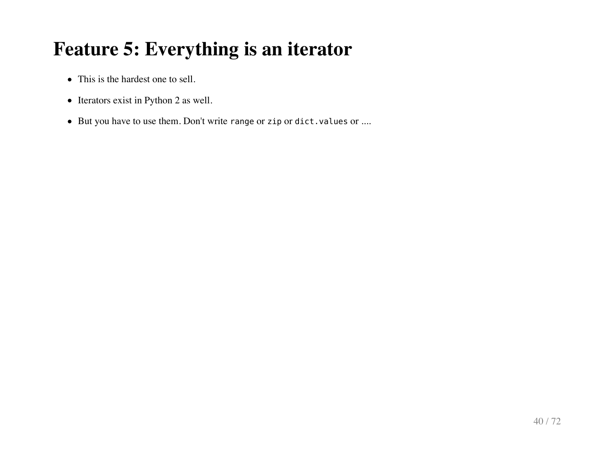- This is the hardest one to sell.
- Iterators exist in Python 2 as well.
- But you have to use them. Don't write range or zip or dict.values or ....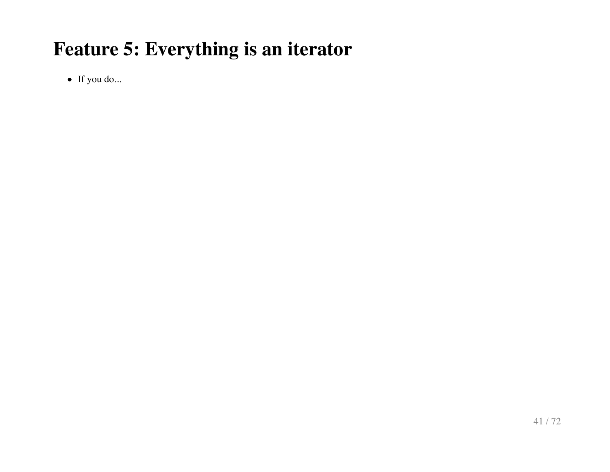If you do...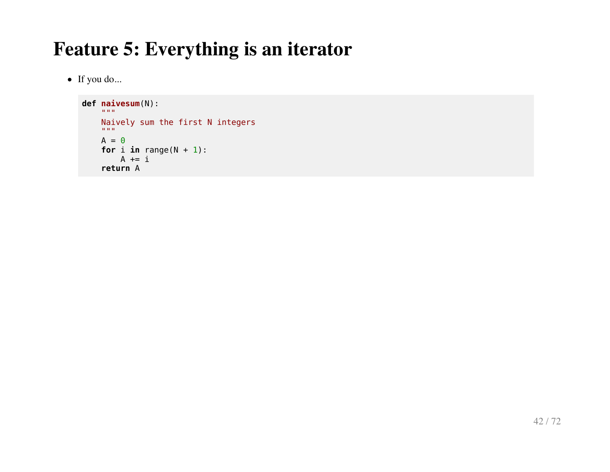• If you do...

```
def naivesum(N):
"" """""
     Naively sum the first N integers
    \mathbf{u} as \mathbf{u}A = 0for i in range(N + 1):
         A += i return A
```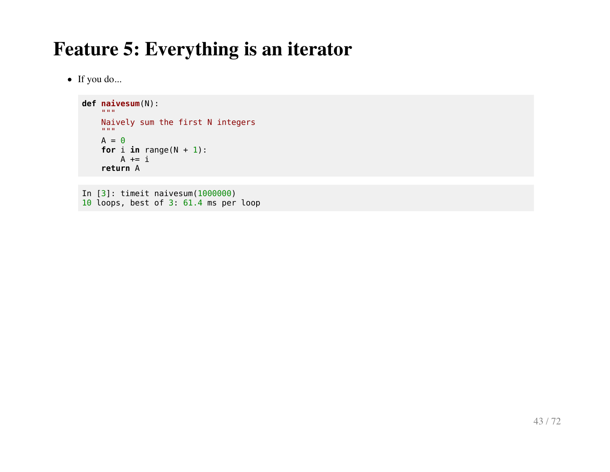• If you do...

```
def naivesum(N):
"" """""
     Naively sum the first N integers
    \mathbf{u} and \mathbf{u} .
    A = 0for i in range(N + 1):
         A += i return A
```
In [3]: timeit naivesum(1000000) 10 loops, best of 3: 61.4 ms per loop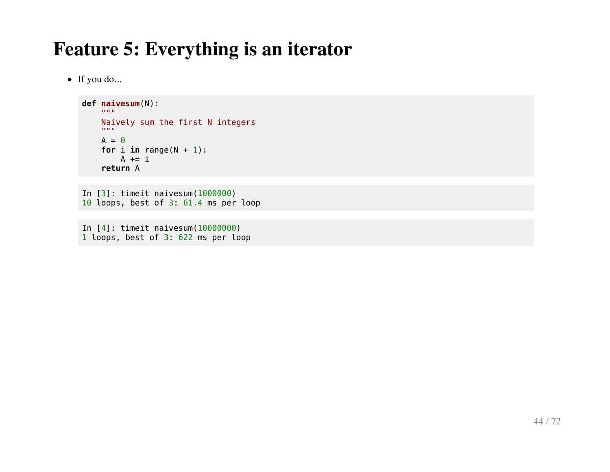• If you do...

```
def naivesum(N):
    \cdots Naively sum the first N integers
    "" "" ""
    A = 0for i in range(N + 1):
        A += i return A
```

```
In [3]: timeit naivesum(1000000)
10 loops, best of 3: 61.4 ms per loop
```
In [4]: timeit naivesum(10000000) 1 loops, best of 3: 622 ms per loop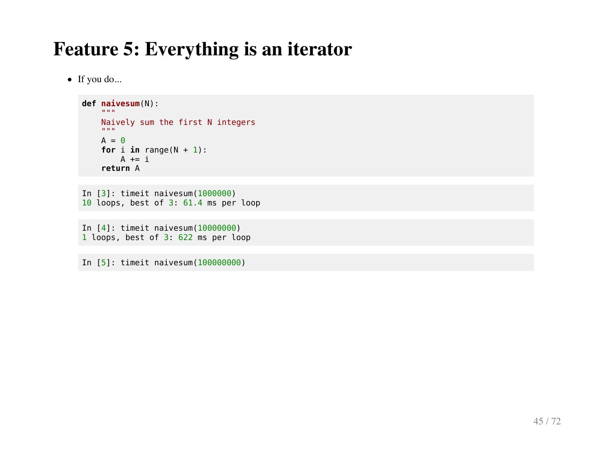If you do...

```
def naivesum(N):
    \cdots Naively sum the first N integers
    "" "" ""
    A = 0for i in range(N + 1):
        A += i return A
```

```
In [3]: timeit naivesum(1000000)
10 loops, best of 3: 61.4 ms per loop
```
In [4]: timeit naivesum(10000000) 1 loops, best of 3: 622 ms per loop

In [5]: timeit naivesum(100000000)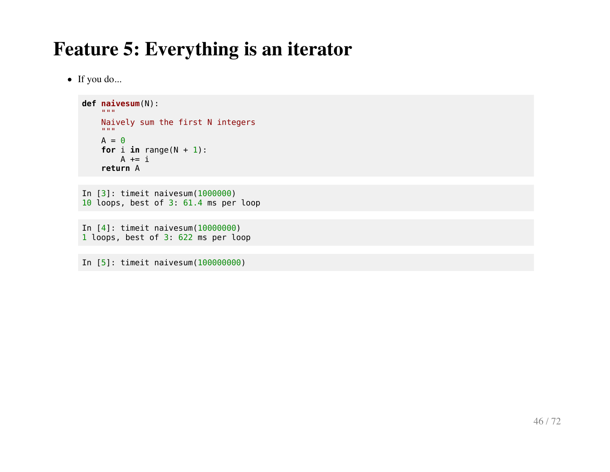If you do...

```
def naivesum(N):
    \cdots Naively sum the first N integers
    "" "" ""
    A = 0for i in range(N + 1):
        A += i return A
```

```
In [3]: timeit naivesum(1000000)
10 loops, best of 3: 61.4 ms per loop
```
In [4]: timeit naivesum(10000000) 1 loops, best of 3: 622 ms per loop

In [5]: timeit naivesum(100000000)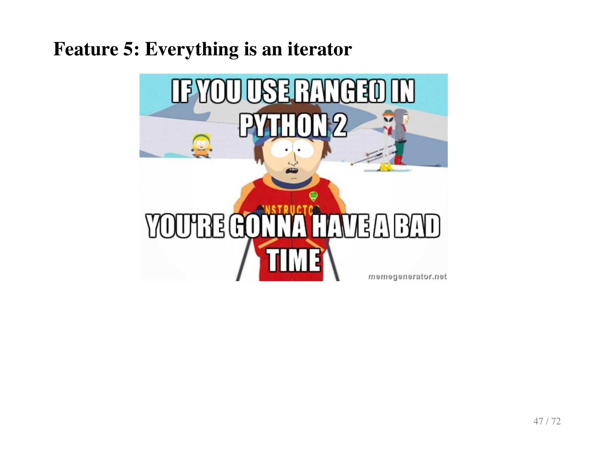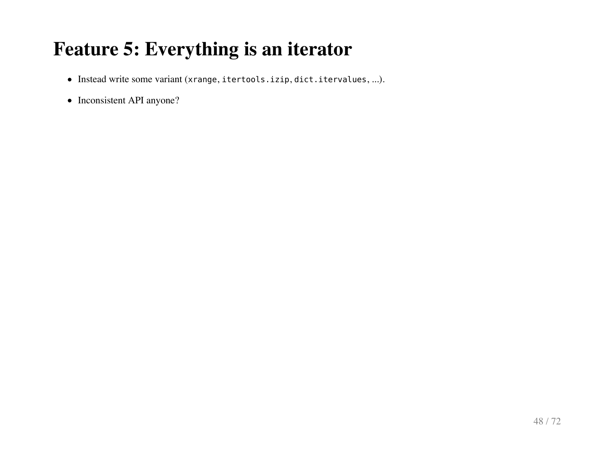- Instead write some variant (xrange, itertools.izip, dict.itervalues, ...).
- Inconsistent API anyone?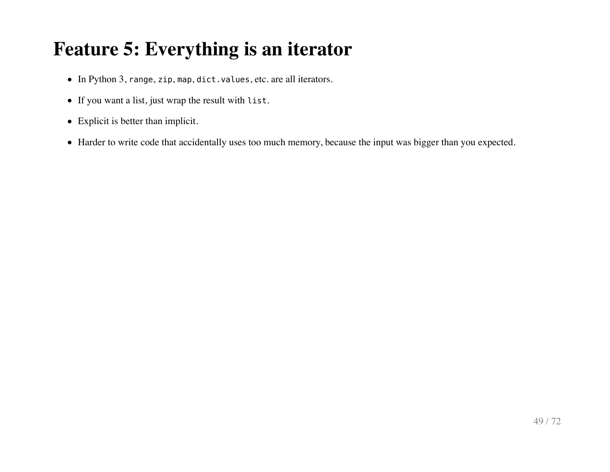- In Python 3, range, zip, map, dict.values, etc. are all iterators.
- If you want a list, just wrap the result with list.
- Explicit is better than implicit.
- Harder to write code that accidentally uses too much memory, because the input was bigger than you expected.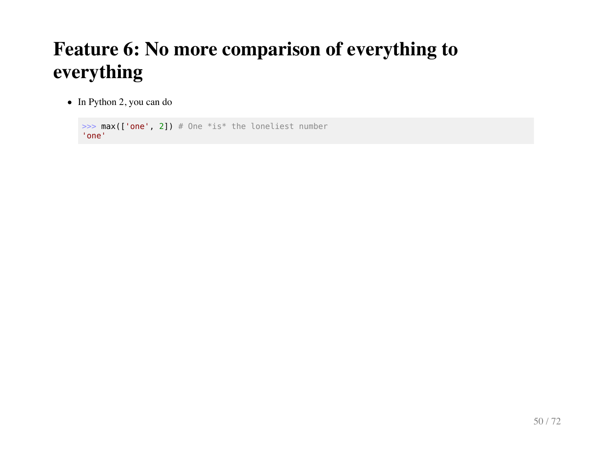• In Python 2, you can do

```
\Rightarrow max(['one', 2]) # One *is* the loneliest number
'one'
```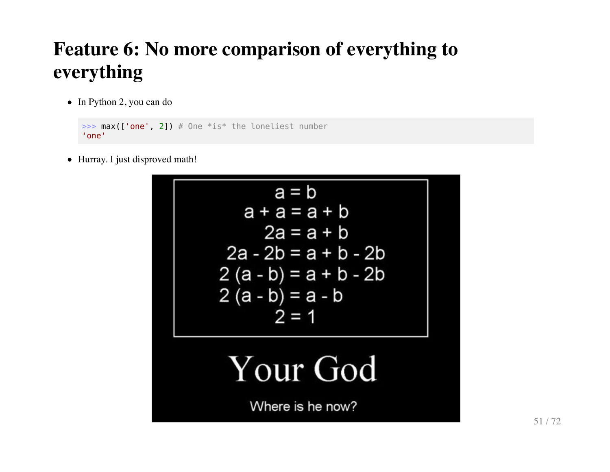• In Python 2, you can do

```
\Rightarrow max(['one', 2]) # One *is* the loneliest number
'one'
```
• Hurray. I just disproved math!

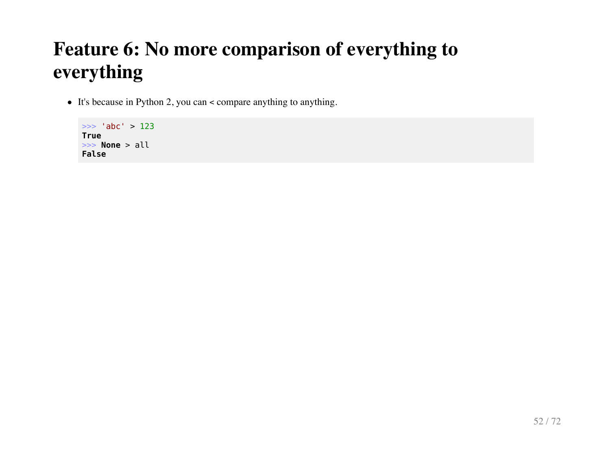It's because in Python 2, you can < compare anything to anything.

>>> 'abc' > 123 **True** >>> **None** > all **False**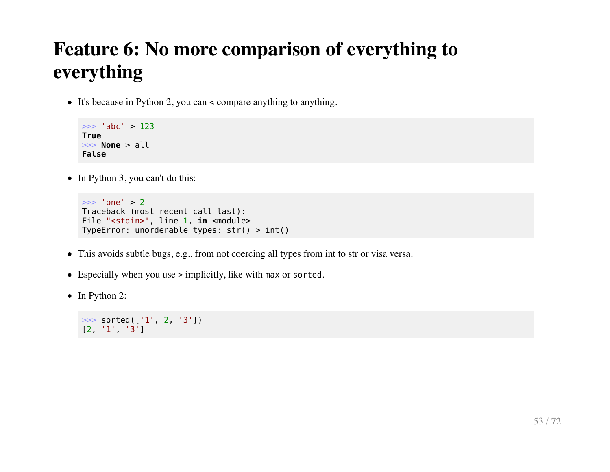It's because in Python 2, you can < compare anything to anything.

```
>>> 'abc' > 123
True
>>> None > all
False
```
 $\bullet$  In Python 3, you can't do this:

```
>>> 'one' > 2
Traceback (most recent call last):
File "<stdin>", line 1, in <module>
TypeError: unorderable types: str() > int()
```
- This avoids subtle bugs, e.g., from not coercing all types from int to str or visa versa.
- Especially when you use > implicitly, like with max or sorted.
- In Python 2:

```
>>> sorted(['1', 2, '3'])
[2, '1', '3']
```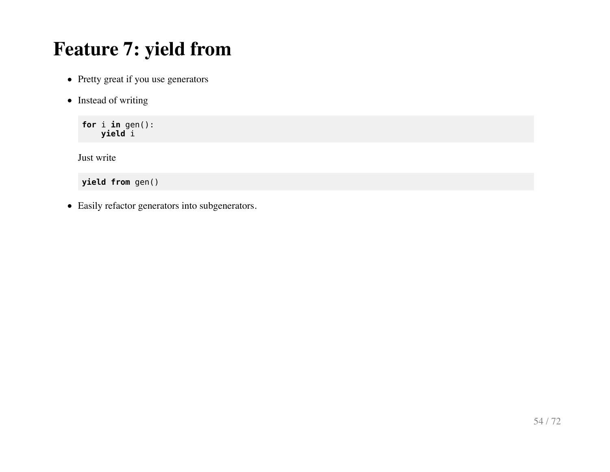# **Feature 7: yield from**

- Pretty great if you use generators
- Instead of writing

**for** i **in** gen(): **yield** i

Just write

**yield from** gen()

Easily refactor generators into subgenerators.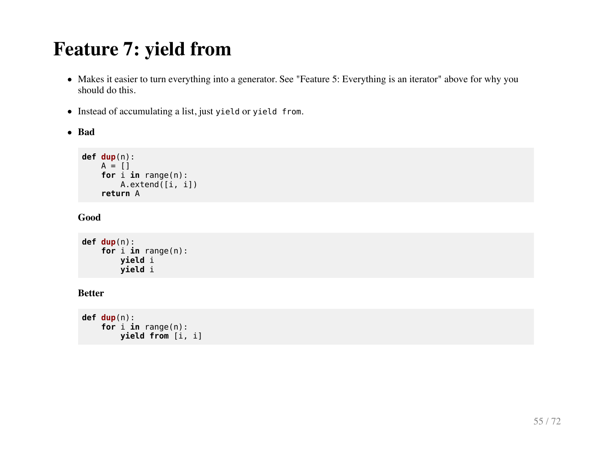# **Feature 7: yield from**

- Makes it easier to turn everything into a generator. See "Feature 5: Everything is an iterator" above for why you should do this.
- $\bullet$  Instead of accumulating a list, just yield or yield from.
- **Bad**

```
def dup(n):
    A = [] for i in range(n):
         A.extend([i, i])
     return A
```
**Good**

```
def dup(n):
     for i in range(n):
         yield i
         yield i
```
#### **Better**

```
def dup(n):
     for i in range(n):
         yield from [i, i]
```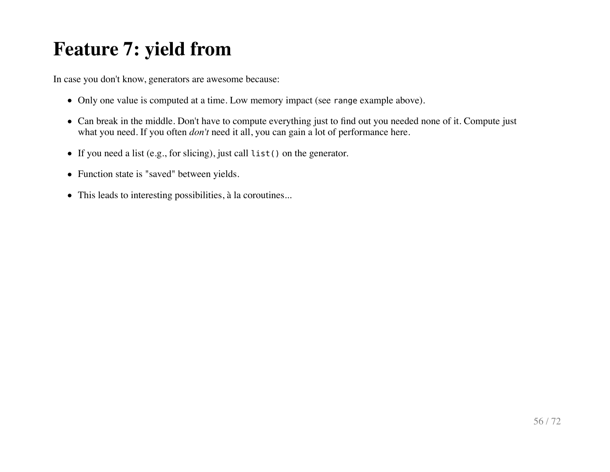# **Feature 7: yield from**

In case you don't know, generators are awesome because:

- Only one value is computed at a time. Low memory impact (see range example above).
- Can break in the middle. Don't have to compute everything just to find out you needed none of it. Compute just what you need. If you often *don't* need it all, you can gain a lot of performance here.
- If you need a list (e.g., for slicing), just call list() on the generator.
- Function state is "saved" between yields.
- This leads to interesting possibilities, à la coroutines...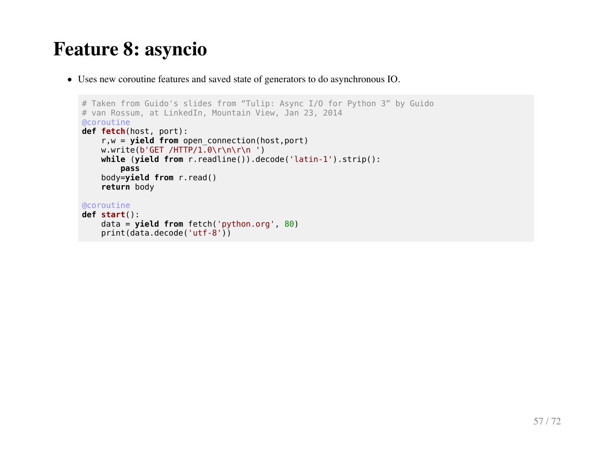### **Feature 8: asyncio**

Uses new coroutine features and saved state of generators to do asynchronous IO.

```
# Taken from Guido's slides from "Tulip: Async I/O for Python 3" by Guido
# van Rossum, at LinkedIn, Mountain View, Jan 23, 2014
@coroutine
def fetch(host, port):
     r,w = yield from open_connection(host,port)
   w.w\text{ rate}(b'GET / HTTP / 1.0\rr\n) while (yield from r.readline()).decode('latin-1').strip():
         pass
     body=yield from r.read()
     return body
@coroutine
def start():
     data = yield from fetch('python.org', 80)
     print(data.decode('utf-8'))
```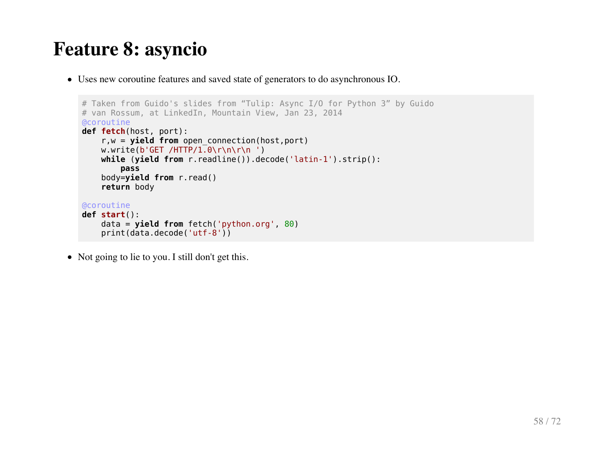### **Feature 8: asyncio**

Uses new coroutine features and saved state of generators to do asynchronous IO.

```
# Taken from Guido's slides from "Tulip: Async I/O for Python 3" by Guido
# van Rossum, at LinkedIn, Mountain View, Jan 23, 2014
@coroutine
def fetch(host, port):
     r,w = yield from open_connection(host,port)
   w.w\text{ rate}(b'GET / HTTP / 1.0\rr\n) while (yield from r.readline()).decode('latin-1').strip():
         pass
     body=yield from r.read()
     return body
@coroutine
def start():
     data = yield from fetch('python.org', 80)
     print(data.decode('utf-8'))
```
• Not going to lie to you. I still don't get this.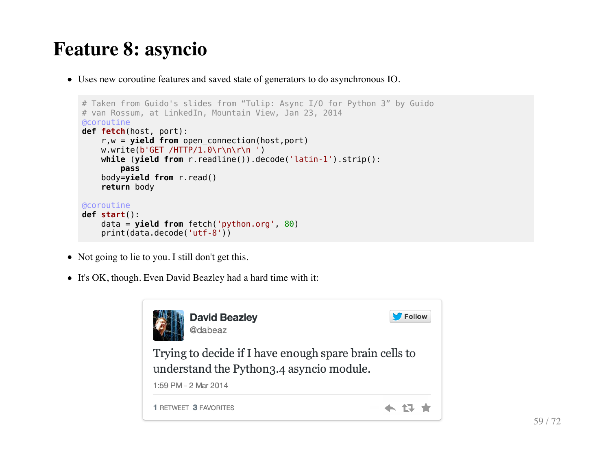### **Feature 8: asyncio**

Uses new coroutine features and saved state of generators to do asynchronous IO.

```
# Taken from Guido's slides from "Tulip: Async I/O for Python 3" by Guido
# van Rossum, at LinkedIn, Mountain View, Jan 23, 2014
@coroutine
def fetch(host, port):
     r,w = yield from open_connection(host,port)
    w.write(b'GET /HTTP/1.0\r\n\r\n ')
     while (yield from r.readline()).decode('latin-1').strip():
         pass
     body=yield from r.read()
     return body
@coroutine
def start():
     data = yield from fetch('python.org', 80)
     print(data.decode('utf-8'))
```
- Not going to lie to you. I still don't get this.
- It's OK, though. Even David Beazley had a hard time with it:

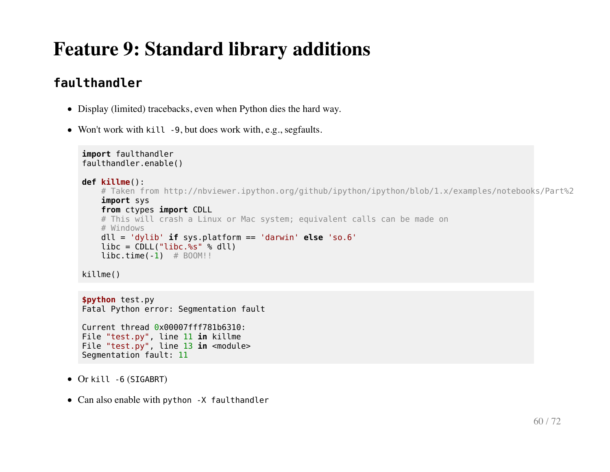#### **faulthandler**

- Display (limited) tracebacks, even when Python dies the hard way.
- Won't work with kill -9, but does work with, e.g., segfaults.

```
import faulthandler
faulthandler.enable()
def killme():
   # Taken from http://nbviewer.ipython.org/github/ipython/ipython/blob/1.x/examples/notebooks/Part%2
     import sys
    from ctypes import CDLL
    # This will crash a Linux or Mac system; equivalent calls can be made on
     # Windows
    dll = 'dylib' if sys.platform == 'darwin' else 'so.6'
   libc = CDLL("libc. %s" % dll)libc.time(-1) # B00M!!killme()
```

```
$python test.py
Fatal Python error: Segmentation fault
Current thread 0x00007fff781b6310:
File "test.py", line 11 in killme
File "test.py", line 13 in <module>
Segmentation fault: 11
```
- Or kill -6 (SIGABRT)
- Can also enable with python -X faulthandler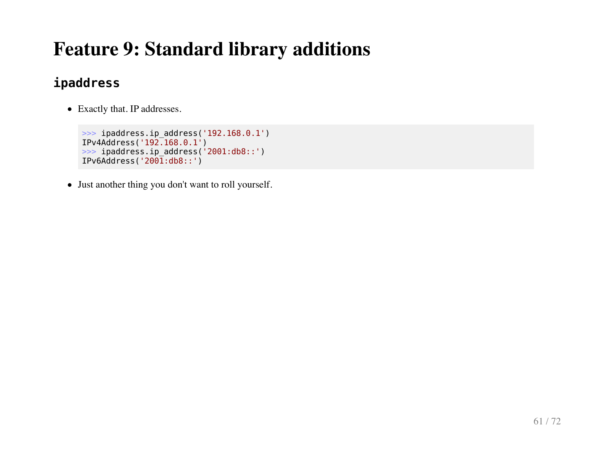#### **ipaddress**

Exactly that. IP addresses.

```
>>> ipaddress.ip_address('192.168.0.1')
IPv4Address('192.168.0.1')
>>> ipaddress.ip_address('2001:db8::')
IPv6Address('2001:db8::')
```
Just another thing you don't want to roll yourself.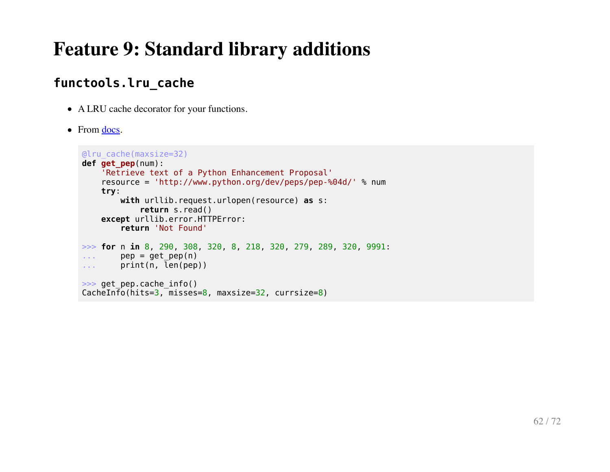#### **functools.lru\_cache**

- A LRU cache decorator for your functions.
- From [docs.](https://docs.python.org/3/whatsnew/3.2.html#functools)

```
@lru_cache(maxsize=32)
def get_pep(num):
     'Retrieve text of a Python Enhancement Proposal'
     resource = 'http://www.python.org/dev/peps/pep-%04d/' % num
     try:
         with urllib.request.urlopen(resource) as s:
             return s.read()
     except urllib.error.HTTPError:
         return 'Not Found'
>>> for n in 8, 290, 308, 320, 8, 218, 320, 279, 289, 320, 9991:
\ldots pep = get_pep(n)
... print(n, len(pep))
>>> get pep.cache info()
CacheInfo(hits=3, misses=8, maxsize=32, currsize=8)
```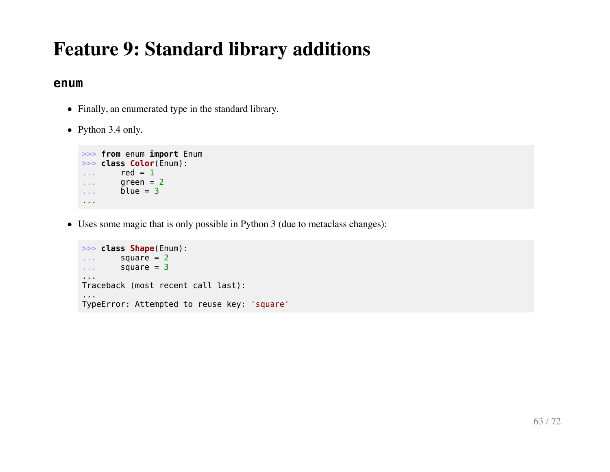#### **enum**

- Finally, an enumerated type in the standard library.
- Python 3.4 only.

```
>>> from enum import Enum
>>> class Color(Enum):
\ldots red = 1
\ldots green = 2
\ldots blue = 3
...
```
Uses some magic that is only possible in Python 3 (due to metaclass changes):

```
>>> class Shape(Enum):
\ldots square = 2
\ldots square = 3
...
Traceback (most recent call last):
...
TypeError: Attempted to reuse key: 'square'
```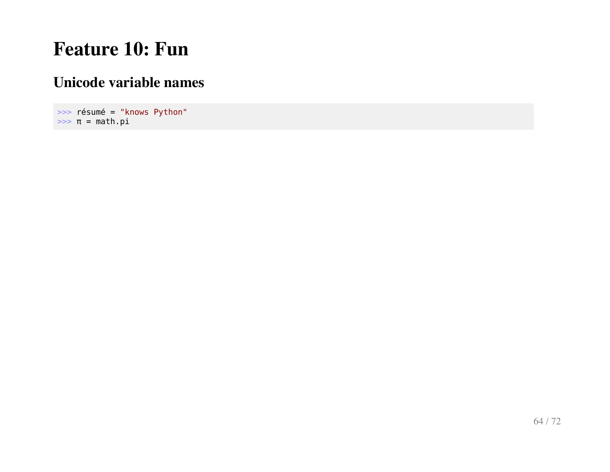# **Feature 10: Fun**

#### **Unicode variable names**

>>> résumé = "knows Python"  $\Rightarrow$   $\pi$  = math.pi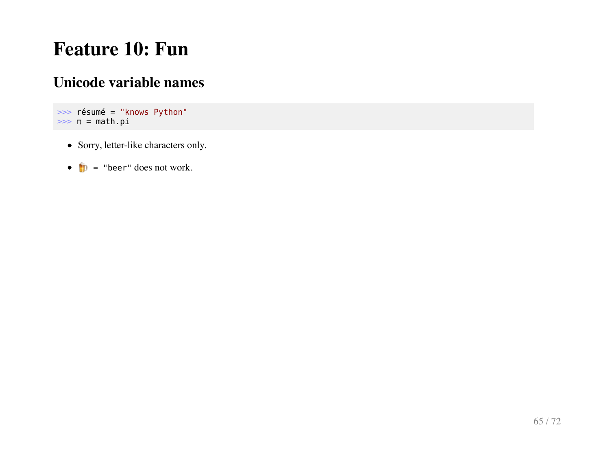# **Feature 10: Fun**

#### **Unicode variable names**

```
>>> résumé = "knows Python"
>> π = math.pi
```
- Sorry, letter-like characters only.
- $\bullet$   $\bullet$   $\bullet$   $\bullet$  "beer" does not work.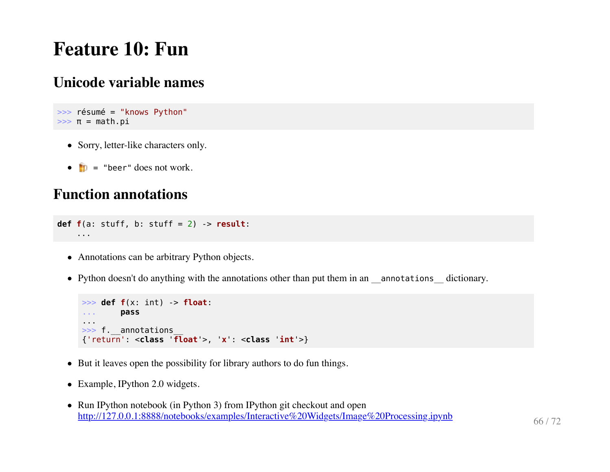## **Feature 10: Fun**

#### **Unicode variable names**

```
>>> résumé = "knows Python"
>> π = math.pi
```
- Sorry, letter-like characters only.
- $\bullet$   $\bullet$   $\bullet$   $\bullet$  "beer" does not work.

#### **Function annotations**

```
def f(a: stuff, b: stuff = 2) -> result:
     ...
```
- Annotations can be arbitrary Python objects.
- Python doesn't do anything with the annotations other than put them in an \_annotations \_dictionary.

```
>>> def f(x: int) -> float:
... pass
...
>>> f. annotations
{'return': <class 'float'>, 'x': <class 'int'>}
```
- But it leaves open the possibility for library authors to do fun things.
- Example, IPython 2.0 widgets.
- Run IPython notebook (in Python 3) from IPython git checkout and open <http://127.0.0.1:8888/notebooks/examples/Interactive%20Widgets/Image%20Processing.ipynb> 66 / 72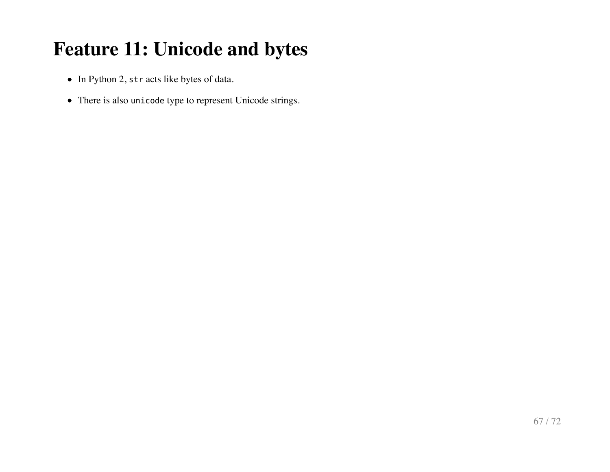# **Feature 11: Unicode and bytes**

- In Python 2, str acts like bytes of data.
- There is also unicode type to represent Unicode strings.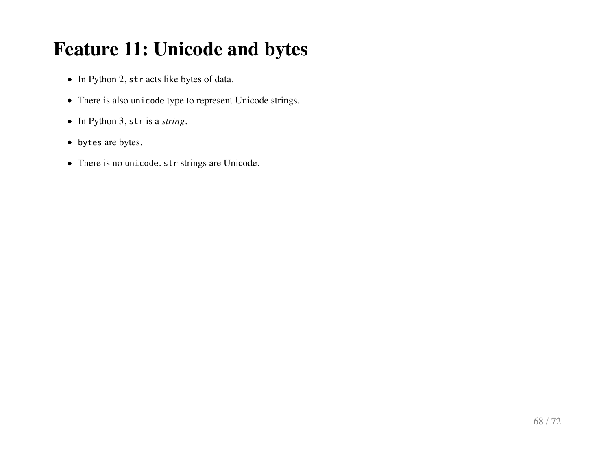# **Feature 11: Unicode and bytes**

- In Python 2, str acts like bytes of data.
- There is also unicode type to represent Unicode strings.
- In Python 3, str is a *string*.
- bytes are bytes.
- There is no unicode. str strings are Unicode.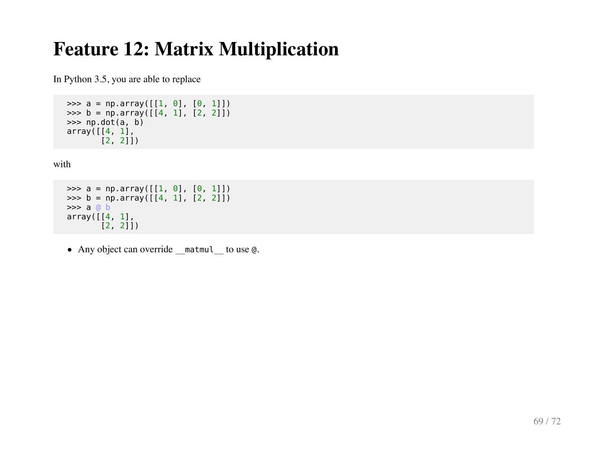# **Feature 12: Matrix Multiplication**

In Python 3.5, you are able to replace

```
>>> a = np.array([1, 0], [0, 1])
\Rightarrow b = np.array([14, 1], [2, 2])
\gg np.dot(a, b)
array([1, 1],[2, 2]])
```
with

```
>>> a = np.array([1, 0], [0, 1])
\Rightarrow b = np.array([4, 1], [2, 2]])
 >>> a @ b
array([1, 1], [2, 2]])
```
• Any object can override matmul to use @.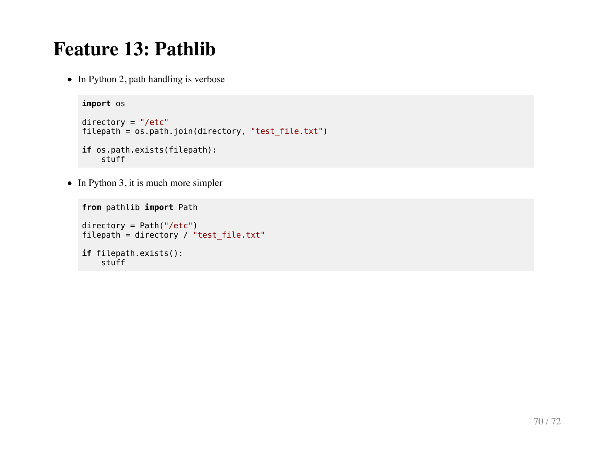### **Feature 13: Pathlib**

• In Python 2, path handling is verbose

```
import os
directory = "/etc"
filepath = os.path.join(directory, "test_file.txt")
if os.path.exists(filepath):
     stuff
```
 $\bullet$  In Python 3, it is much more simpler

```
from pathlib import Path
\text{directory} = \text{Path}('/\text{etc}')filepath = directory / 'test_file.txt'if filepath.exists():
     stuff
```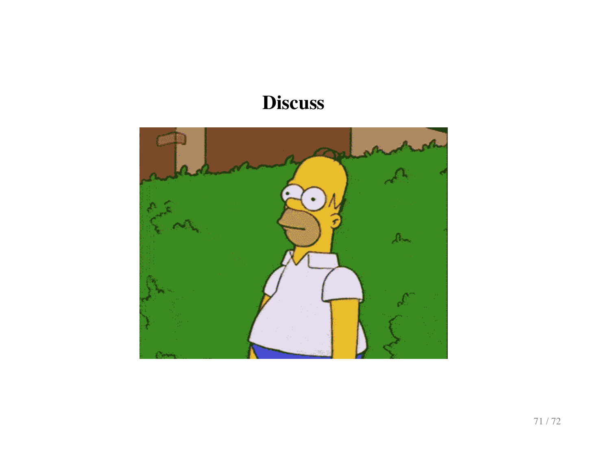# **Discuss**